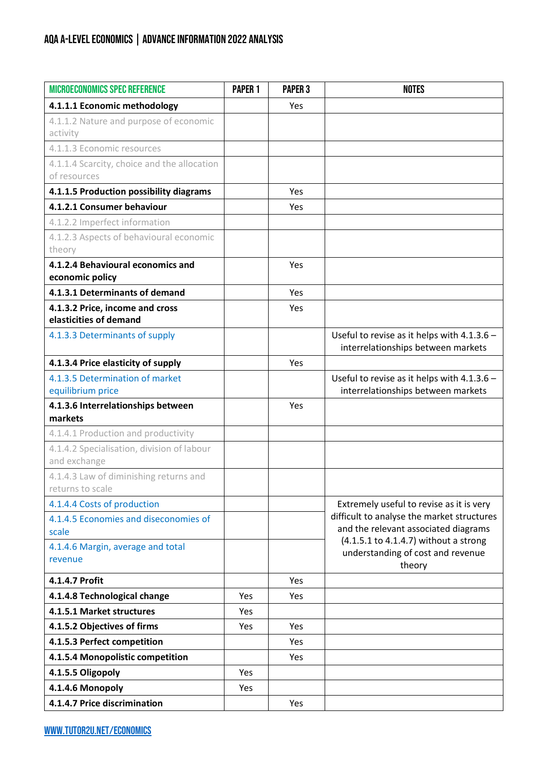## AQA A-LEVEL ECONOMICS | ADVANCE INFORMATION 2022 ANALYSIS

| <b>MICROECONOMICS SPEC REFERENCE</b>                      | PAPER <sub>1</sub> | <b>PAPER 3</b> | <b>NOTES</b>                                                                           |  |
|-----------------------------------------------------------|--------------------|----------------|----------------------------------------------------------------------------------------|--|
| 4.1.1.1 Economic methodology                              |                    | Yes            |                                                                                        |  |
| 4.1.1.2 Nature and purpose of economic                    |                    |                |                                                                                        |  |
| activity                                                  |                    |                |                                                                                        |  |
| 4.1.1.3 Economic resources                                |                    |                |                                                                                        |  |
| 4.1.1.4 Scarcity, choice and the allocation               |                    |                |                                                                                        |  |
| of resources                                              |                    |                |                                                                                        |  |
| 4.1.1.5 Production possibility diagrams                   |                    | Yes            |                                                                                        |  |
| 4.1.2.1 Consumer behaviour                                |                    | Yes            |                                                                                        |  |
| 4.1.2.2 Imperfect information                             |                    |                |                                                                                        |  |
| 4.1.2.3 Aspects of behavioural economic                   |                    |                |                                                                                        |  |
| theory                                                    |                    |                |                                                                                        |  |
| 4.1.2.4 Behavioural economics and                         |                    | Yes            |                                                                                        |  |
| economic policy                                           |                    |                |                                                                                        |  |
| 4.1.3.1 Determinants of demand                            |                    | Yes            |                                                                                        |  |
| 4.1.3.2 Price, income and cross<br>elasticities of demand |                    | Yes            |                                                                                        |  |
| 4.1.3.3 Determinants of supply                            |                    |                | Useful to revise as it helps with 4.1.3.6 -                                            |  |
|                                                           |                    |                | interrelationships between markets                                                     |  |
| 4.1.3.4 Price elasticity of supply                        |                    | Yes            |                                                                                        |  |
| 4.1.3.5 Determination of market                           |                    |                | Useful to revise as it helps with 4.1.3.6 -                                            |  |
| equilibrium price                                         |                    |                | interrelationships between markets                                                     |  |
| 4.1.3.6 Interrelationships between                        |                    | Yes            |                                                                                        |  |
| markets                                                   |                    |                |                                                                                        |  |
| 4.1.4.1 Production and productivity                       |                    |                |                                                                                        |  |
| 4.1.4.2 Specialisation, division of labour                |                    |                |                                                                                        |  |
| and exchange                                              |                    |                |                                                                                        |  |
| 4.1.4.3 Law of diminishing returns and                    |                    |                |                                                                                        |  |
| returns to scale                                          |                    |                |                                                                                        |  |
| 4.1.4.4 Costs of production                               |                    |                | Extremely useful to revise as it is very<br>difficult to analyse the market structures |  |
| 4.1.4.5 Economies and diseconomies of<br>scale            |                    |                | and the relevant associated diagrams                                                   |  |
|                                                           |                    |                | (4.1.5.1 to 4.1.4.7) without a strong                                                  |  |
| 4.1.4.6 Margin, average and total<br>revenue              |                    |                | understanding of cost and revenue<br>theory                                            |  |
| 4.1.4.7 Profit                                            |                    | Yes            |                                                                                        |  |
| 4.1.4.8 Technological change                              | Yes                | Yes            |                                                                                        |  |
| 4.1.5.1 Market structures                                 | Yes                |                |                                                                                        |  |
| 4.1.5.2 Objectives of firms                               | Yes                | Yes            |                                                                                        |  |
| 4.1.5.3 Perfect competition                               |                    | Yes            |                                                                                        |  |
| 4.1.5.4 Monopolistic competition                          |                    | Yes            |                                                                                        |  |
| 4.1.5.5 Oligopoly                                         | Yes                |                |                                                                                        |  |
| 4.1.4.6 Monopoly                                          | Yes                |                |                                                                                        |  |
| 4.1.4.7 Price discrimination                              |                    | Yes            |                                                                                        |  |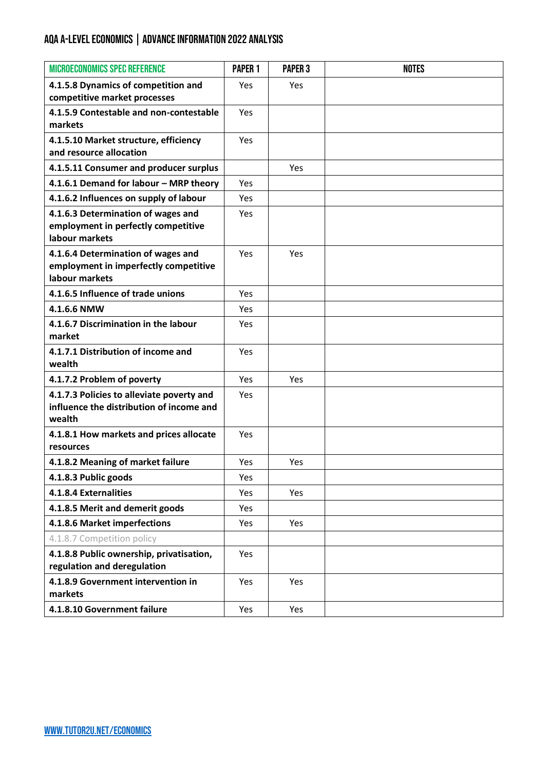## AQA A-LEVEL ECONOMICS | ADVANCE INFORMATION 2022 ANALYSIS

| <b>MICROECONOMICS SPEC REFERENCE</b>                                                            | <b>PAPER 1</b> | <b>PAPER 3</b> | <b>NOTES</b> |
|-------------------------------------------------------------------------------------------------|----------------|----------------|--------------|
| 4.1.5.8 Dynamics of competition and<br>competitive market processes                             | <b>Yes</b>     | Yes            |              |
| 4.1.5.9 Contestable and non-contestable<br>markets                                              | <b>Yes</b>     |                |              |
| 4.1.5.10 Market structure, efficiency<br>and resource allocation                                | Yes            |                |              |
| 4.1.5.11 Consumer and producer surplus                                                          |                | Yes            |              |
| 4.1.6.1 Demand for labour - MRP theory                                                          | <b>Yes</b>     |                |              |
| 4.1.6.2 Influences on supply of labour                                                          | <b>Yes</b>     |                |              |
| 4.1.6.3 Determination of wages and<br>employment in perfectly competitive<br>labour markets     | <b>Yes</b>     |                |              |
| 4.1.6.4 Determination of wages and<br>employment in imperfectly competitive<br>labour markets   | Yes            | Yes            |              |
| 4.1.6.5 Influence of trade unions                                                               | <b>Yes</b>     |                |              |
| 4.1.6.6 NMW                                                                                     | Yes            |                |              |
| 4.1.6.7 Discrimination in the labour<br>market                                                  | Yes            |                |              |
| 4.1.7.1 Distribution of income and<br>wealth                                                    | Yes            |                |              |
| 4.1.7.2 Problem of poverty                                                                      | <b>Yes</b>     | Yes            |              |
| 4.1.7.3 Policies to alleviate poverty and<br>influence the distribution of income and<br>wealth | <b>Yes</b>     |                |              |
| 4.1.8.1 How markets and prices allocate<br>resources                                            | <b>Yes</b>     |                |              |
| 4.1.8.2 Meaning of market failure                                                               | Yes            | Yes            |              |
| 4.1.8.3 Public goods                                                                            | Yes            |                |              |
| 4.1.8.4 Externalities                                                                           | Yes            | Yes            |              |
| 4.1.8.5 Merit and demerit goods                                                                 | Yes            |                |              |
| 4.1.8.6 Market imperfections                                                                    | Yes            | Yes            |              |
| 4.1.8.7 Competition policy                                                                      |                |                |              |
| 4.1.8.8 Public ownership, privatisation,<br>regulation and deregulation                         | Yes            |                |              |
| 4.1.8.9 Government intervention in<br>markets                                                   | Yes            | Yes            |              |
| 4.1.8.10 Government failure                                                                     | Yes            | Yes            |              |